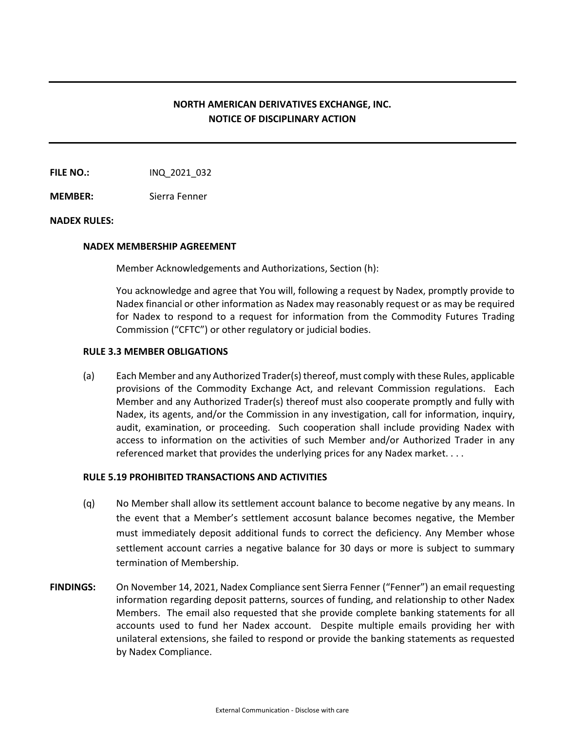# **NORTH AMERICAN DERIVATIVES EXCHANGE, INC. NOTICE OF DISCIPLINARY ACTION**

**FILE NO.:** INQ 2021 032

**MEMBER:** Sierra Fenner

### **NADEX RULES:**

### **NADEX MEMBERSHIP AGREEMENT**

Member Acknowledgements and Authorizations, Section (h):

You acknowledge and agree that You will, following a request by Nadex, promptly provide to Nadex financial or other information as Nadex may reasonably request or as may be required for Nadex to respond to a request for information from the Commodity Futures Trading Commission ("CFTC") or other regulatory or judicial bodies.

## **RULE 3.3 MEMBER OBLIGATIONS**

(a) Each Member and any Authorized Trader(s) thereof, must comply with these Rules, applicable provisions of the Commodity Exchange Act, and relevant Commission regulations. Each Member and any Authorized Trader(s) thereof must also cooperate promptly and fully with Nadex, its agents, and/or the Commission in any investigation, call for information, inquiry, audit, examination, or proceeding. Such cooperation shall include providing Nadex with access to information on the activities of such Member and/or Authorized Trader in any referenced market that provides the underlying prices for any Nadex market. . . .

#### **RULE 5.19 PROHIBITED TRANSACTIONS AND ACTIVITIES**

- (q) No Member shall allow its settlement account balance to become negative by any means. In the event that a Member's settlement accosunt balance becomes negative, the Member must immediately deposit additional funds to correct the deficiency. Any Member whose settlement account carries a negative balance for 30 days or more is subject to summary termination of Membership.
- **FINDINGS:** On November 14, 2021, Nadex Compliance sent Sierra Fenner ("Fenner") an email requesting information regarding deposit patterns, sources of funding, and relationship to other Nadex Members. The email also requested that she provide complete banking statements for all accounts used to fund her Nadex account. Despite multiple emails providing her with unilateral extensions, she failed to respond or provide the banking statements as requested by Nadex Compliance.